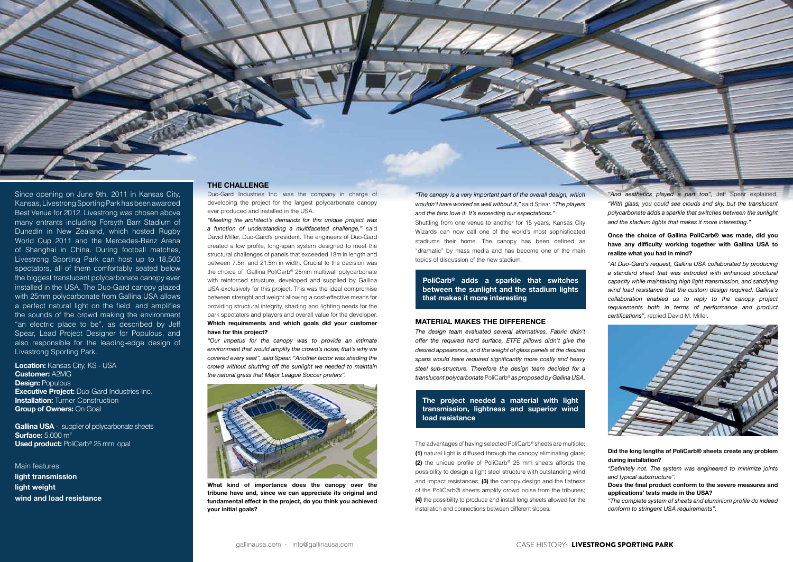

**Location:** Kansas City, KS - USA **Customer:** A2MG **Design: Populous Executive Project:** Duo-Gard Industries Inc. **Installation:** Turner Construction **Group of Owners:** On Goal

**Gallina USA** - supplier of polycarbonate sheets **Surface:** 5.000 m2 **Used product: PoliCarb® 25 mm opal** 

## **THE CHALLENGE**

Duo-Gard Industries Inc. was the company in charge of developing the project for the largest polycarbonate canopy ever produced and installed in the USA.

*"Meeting the architect's demands for this unique project was a function of understanding a multifaceted challenge,"* said David Miller, Duo-Gard's president. The engineers of Duo-Gard created a low profile, long-span system designed to meet the structural challenges of panels that exceeded 18m in length and between 7.5m and 21.5m in width. Crucial to the decision was the choice of Gallina PoliCarb® 25mm multiwall polycarbonate with reinforced structure, developed and supplied by Gallina USA exclusively for this project. This was the ideal compromise between strenght and weight allowing a cost-effective means for providing structural integrity, shading and lighting needs for the park spectators and players and overall value for the developer. **Which requirements and which goals did your customer have for this project?**

*"Our impetus for the canopy was to provide an intimate environment that would amplify the crowd's noise; that's why we covered every seat", said Spear. "Another factor was shading the crowd without shutting off the sunlight we needed to maintain the natural grass that Major League Soccer prefers".*

*"The canopy is a very important part of the overall design, which wouldn't have worked as well without it,"* said Spear. *"The players and the fans love it. It's exceeding our expectations."*

Shuttling from one venue to another for 15 years, Kansas City Wizards can now call one of the world's most sophisticated stadiums their home. The canopy has been defined as "dramatic" by mass media and has become one of the main topics of discussion of the new stadium.

*"And aesthetics played a part too",* Jeff Spear explained, *"With glass, you could see clouds and sky, but the translucent polycarbonate adds a sparkle that switches between the sunlight and the stadium lights that makes it more interesting."*

## **MATERIAL MAKES THE DIFFERENCE**

*The design team evaluated several alternatives. Fabric didn't offer the required hard surface, ETFE pillows didn't give the desired appearance, and the weight of glass panels at the desired spans would have required significantly more costly and heavy steel sub-structure. Therefore the design team decided for a translucent polycarbonate* PoliCarb® *as proposed by Gallina USA.*

# **The project needed a material with light transmission, lightness and superior wind load resistance**

# **Once the choice of Gallina PoliCarb® was made, did you have any difficulty working together with Gallina USA to realize what you had in mind?**

*"At Duo-Gard's request, Gallina USA collaborated by producing a standard sheet that was extruded with enhanced structural capacity while maintaining high light transmission, and satisfying wind load resistance that the custom design required. Gallina's collaboration enabled us to reply to the canopy project requirements both in terms of performance and product certifications"*, replied David M. Miller.



# **Did the long lengths of PoliCarb® sheets create any problem during installation?**

*"Definitely not. The system was engineered to minimize joints and typical substructure".*

**Does the final product conform to the severe measures and applications' tests made in the USA?**

*"The complete system of sheets and aluminium profile do indeed conform to stringent USA requirements".*

**PoliCarb® adds a sparkle that switches between the sunlight and the stadium lights that makes it more interesting**

### Main features:

**light transmission light weight wind and load resistance** The advantages of having selected PoliCarb® sheets are multiple: **(1)** natural light is diffused through the canopy eliminating glare; **(2)** the unique profile of PoliCarb® 25 mm sheets affords the possibility to design a light steel structure with outstanding wind and impact resistances; **(3)** the canopy design and the flatness of the PoliCarb® sheets amplify crowd noise from the tribunes; **(4)** the possibility to produce and install long sheets allowed for the installation and connections between different slopes.





**What kind of importance does the canopy over the tribune have and, since we can appreciate its original and fundamental effect in the project, do you think you achieved your initial goals?**